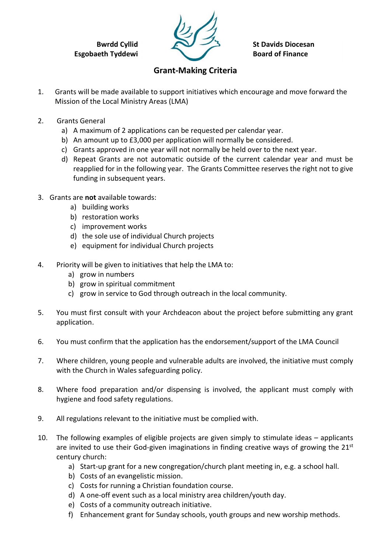Bwrdd Cyllid Esgobaeth Tyddewi



St Davids Diocesan Board of Finance

## Grant-Making Criteria

- 1. Grants will be made available to support initiatives which encourage and move forward the Mission of the Local Ministry Areas (LMA)
- 2. Grants General
	- a) A maximum of 2 applications can be requested per calendar year.
	- b) An amount up to £3,000 per application will normally be considered.
	- c) Grants approved in one year will not normally be held over to the next year.
	- d) Repeat Grants are not automatic outside of the current calendar year and must be reapplied for in the following year. The Grants Committee reserves the right not to give funding in subsequent years.
- 3. Grants are not available towards:
	- a) building works
	- b) restoration works
	- c) improvement works
	- d) the sole use of individual Church projects
	- e) equipment for individual Church projects
- 4. Priority will be given to initiatives that help the LMA to:
	- a) grow in numbers
	- b) grow in spiritual commitment
	- c) grow in service to God through outreach in the local community.
- 5. You must first consult with your Archdeacon about the project before submitting any grant application.
- 6. You must confirm that the application has the endorsement/support of the LMA Council
- 7. Where children, young people and vulnerable adults are involved, the initiative must comply with the Church in Wales safeguarding policy.
- 8. Where food preparation and/or dispensing is involved, the applicant must comply with hygiene and food safety regulations.
- 9. All regulations relevant to the initiative must be complied with.
- 10. The following examples of eligible projects are given simply to stimulate ideas applicants are invited to use their God-given imaginations in finding creative ways of growing the 21<sup>st</sup> century church:
	- a) Start-up grant for a new congregation/church plant meeting in, e.g. a school hall.
	- b) Costs of an evangelistic mission.
	- c) Costs for running a Christian foundation course.
	- d) A one-off event such as a local ministry area children/youth day.
	- e) Costs of a community outreach initiative.
	- f) Enhancement grant for Sunday schools, youth groups and new worship methods.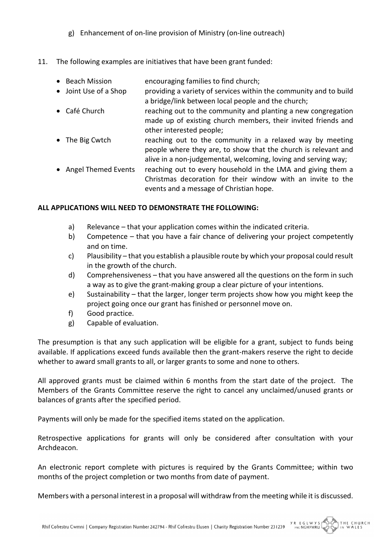- g) Enhancement of on-line provision of Ministry (on-line outreach)
- 11. The following examples are initiatives that have been grant funded:
	- Beach Mission encouraging families to find church;
	- Joint Use of a Shop providing a variety of services within the community and to build a bridge/link between local people and the church;
	- Café Church reaching out to the community and planting a new congregation made up of existing church members, their invited friends and other interested people;
	- The Big Cwtch reaching out to the community in a relaxed way by meeting people where they are, to show that the church is relevant and alive in a non-judgemental, welcoming, loving and serving way;
	- Angel Themed Events reaching out to every household in the LMA and giving them a Christmas decoration for their window with an invite to the events and a message of Christian hope.

## ALL APPLICATIONS WILL NEED TO DEMONSTRATE THE FOLLOWING:

- a) Relevance that your application comes within the indicated criteria.
- b) Competence that you have a fair chance of delivering your project competently and on time.
- c) Plausibility that you establish a plausible route by which your proposal could result in the growth of the church.
- d) Comprehensiveness that you have answered all the questions on the form in such a way as to give the grant-making group a clear picture of your intentions.
- e) Sustainability that the larger, longer term projects show how you might keep the project going once our grant has finished or personnel move on.
- f) Good practice.
- g) Capable of evaluation.

The presumption is that any such application will be eligible for a grant, subject to funds being available. If applications exceed funds available then the grant-makers reserve the right to decide whether to award small grants to all, or larger grants to some and none to others.

All approved grants must be claimed within 6 months from the start date of the project. The Members of the Grants Committee reserve the right to cancel any unclaimed/unused grants or balances of grants after the specified period.

Payments will only be made for the specified items stated on the application.

Retrospective applications for grants will only be considered after consultation with your Archdeacon.

An electronic report complete with pictures is required by the Grants Committee; within two months of the project completion or two months from date of payment.

Members with a personal interest in a proposal will withdraw from the meeting while it is discussed.

THE CHURCH